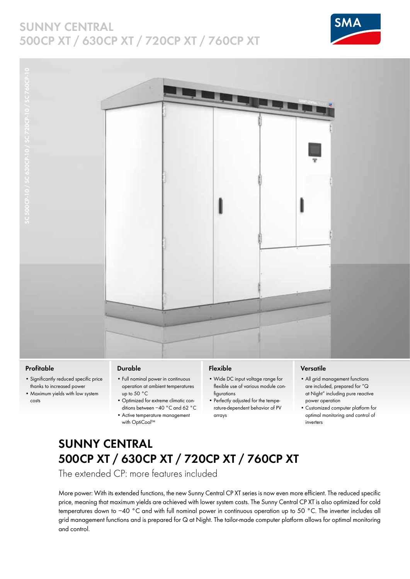## **SUNNY CENTRAL 500CP XT / 630CP XT / 720CP XT / 760CP XT**





### **Profitable**

- Significantly reduced specific price thanks to increased power
- Maximum yields with low system costs

#### **Durable**

- Full nominal power in continuous operation at ambient temperatures up to 50 °C
- Optimized for extreme climatic conditions between −40 °C and 62 °C
- Active temperature management with OptiCool™

### **Flexible**

- Wide DC input voltage range for flexible use of various module configurations
- Perfectly adjusted for the temperature-dependent behavior of PV arrays

### **Versatile**

- All grid management functions are included, prepared for "Q at Night" including pure reactive power operation
- Customized computer platform for optimal monitoring and control of inverters

# **Sunny Central 500CP XT / 630CP XT / 720CP XT / 760CP XT**

The extended CP: more features included

More power: With its extended functions, the new Sunny Central CP XT series is now even more efficient. The reduced specific price, meaning that maximum yields are achieved with lower system costs. The Sunny Central CP XT is also optimized for cold temperatures down to −40 °C and with full nominal power in continuous operation up to 50 °C. The inverter includes all grid management functions and is prepared for Q at Night. The tailor-made computer platform allows for optimal monitoring and control.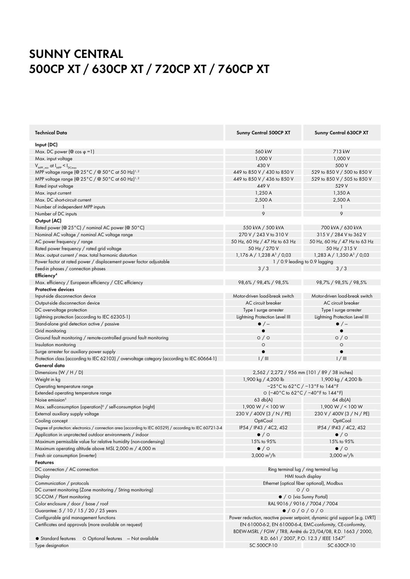# **Sunny Central 500CP XT / 630CP XT / 720CP XT / 760CP Xt**

| <b>Technical Data</b>                                                                                     | Sunny Central 500CP XT                                                                                                     | Sunny Central 630CP XT                                                     |
|-----------------------------------------------------------------------------------------------------------|----------------------------------------------------------------------------------------------------------------------------|----------------------------------------------------------------------------|
| Input (DC)                                                                                                |                                                                                                                            |                                                                            |
| Max. DC power $(\mathcal{Q} \cos \varphi = 1)$                                                            | 560 kW                                                                                                                     | 713 kW                                                                     |
| Max. input voltage                                                                                        | 1,000 V                                                                                                                    | 1,000 V                                                                    |
| $V_{MPP_{min}}$ at $I_{MPP} < I_{DCmax}$                                                                  | 430 V                                                                                                                      | 500 V                                                                      |
| MPP voltage range (@ 25°C / @ 50°C at 50 Hz) <sup>1,2</sup>                                               | 449 to 850 V / 430 to 850 V                                                                                                | 529 to 850 V / 500 to 850 V                                                |
| MPP voltage range (@ 25°C / @ 50°C at 60 Hz) <sup>1,2</sup>                                               | 449 to 850 V / 436 to 850 V                                                                                                | 529 to 850 V / 505 to 850 V                                                |
| Rated input voltage                                                                                       | 449 V                                                                                                                      | 529 V                                                                      |
| Max. input current                                                                                        | 1,250A                                                                                                                     | 1,350 A                                                                    |
| Max. DC short-circuit current                                                                             | 2,500 A                                                                                                                    | 2,500 A                                                                    |
| Number of independent MPP inputs                                                                          |                                                                                                                            |                                                                            |
| Number of DC inputs                                                                                       | 9                                                                                                                          | 9                                                                          |
| Output (AC)                                                                                               |                                                                                                                            |                                                                            |
|                                                                                                           | 550 kVA / 500 kVA                                                                                                          |                                                                            |
| Rated power (@ 25°C) / nominal AC power (@ 50°C)                                                          |                                                                                                                            | 700 kVA / 630 kVA                                                          |
| Nominal AC voltage / nominal AC voltage range                                                             | 270 V / 243 V to 310 V                                                                                                     | 315 V / 284 V to 362 V                                                     |
| AC power frequency / range                                                                                | 50 Hz, 60 Hz / 47 Hz to 63 Hz                                                                                              | 50 Hz, 60 Hz / 47 Hz to 63 Hz                                              |
| Rated power frequency / rated grid voltage                                                                | 50 Hz / 270 V                                                                                                              | 50 Hz / 315 V                                                              |
| Max. output current / max. total harmonic distortion                                                      | $1,176$ A $/ 1,238$ A <sup>3</sup> $/ 0,03$                                                                                | 1,283 A / 1,350 A <sup>3</sup> / 0,03                                      |
| Power factor at rated power / displacement power factor adjustable                                        | $1/0.9$ leading to 0.9 lagging                                                                                             |                                                                            |
| Feed-in phases / connection phases                                                                        | 3/3                                                                                                                        | 3/3                                                                        |
| Efficiency <sup>4</sup>                                                                                   |                                                                                                                            |                                                                            |
| Max. efficiency / European efficiency / CEC efficiency                                                    | 98,6% / 98,4% / 98,5%                                                                                                      | 98,7% / 98,5% / 98,5%                                                      |
| <b>Protective devices</b>                                                                                 |                                                                                                                            |                                                                            |
| Input-side disconnection device                                                                           | Motor-driven load-break switch                                                                                             | Motor-driven load-break switch                                             |
| Output-side disconnection device                                                                          | AC circuit breaker                                                                                                         | AC circuit breaker                                                         |
| DC overvoltage protection                                                                                 | Type I surge arrester                                                                                                      | Type I surge arrester                                                      |
| Lightning protection (according to IEC 62305-1)                                                           | Lightning Protection Level III                                                                                             | Lightning Protection Level III                                             |
| Stand-alone grid detection active / passive                                                               | $\bullet$ / $-$                                                                                                            | $\bullet$ / $-$                                                            |
| Grid monitoring                                                                                           |                                                                                                                            |                                                                            |
| Ground fault monitoring / remote-controlled ground fault monitoring                                       | $\circ$ / $\circ$                                                                                                          | $\circ$ / $\circ$                                                          |
| Insulation monitoring                                                                                     | $\circ$                                                                                                                    | $\circ$                                                                    |
| Surge arrester for auxiliary power supply                                                                 |                                                                                                                            |                                                                            |
| Protection class (according to IEC 62103) / overvoltage category (according to IEC 60664-1)               | 1/111                                                                                                                      | 1/111                                                                      |
| General data                                                                                              |                                                                                                                            |                                                                            |
| Dimensions $(W/H/D)$                                                                                      |                                                                                                                            | 2,562 / 2,272 / 956 mm (101 / 89 / 38 inches)                              |
| Weight in kg                                                                                              | 1,900 kg / 4,200 lb                                                                                                        | 1,900 kg / 4,200 lb                                                        |
| Operating temperature range                                                                               | $-25^{\circ}$ C to 62 $^{\circ}$ C / $-13^{\circ}$ F to 144 $^{\circ}$ F                                                   |                                                                            |
| Extended operating temperature range                                                                      | O (-40°C to 62°C / -40°F to 144°F)                                                                                         |                                                                            |
| Noise emission <sup>5</sup>                                                                               | $63$ db(A)                                                                                                                 | 64 db(A)                                                                   |
| Max. self-consumption (operation) <sup>6</sup> / self-consumption (night)                                 | 1,900 W / < 100 W                                                                                                          | 1,900 W / < 100 W                                                          |
| External auxiliary supply voltage                                                                         | 230 V / 400V (3 / N / PE)                                                                                                  | 230 V / 400V (3 / N / PE)                                                  |
| Cooling concept                                                                                           | OptiCool                                                                                                                   | OptiCool                                                                   |
| Degree of protection: electronics / connection area (according to IEC 60529) / according to IEC 60721-3-4 | IP54 / IP43 / 4C2, 4S2                                                                                                     | IP54 / IP43 / 4C2, 4S2                                                     |
| Application in unprotected outdoor environments / indoor                                                  | $\bullet$ / $\circ$                                                                                                        | $\bullet$ / $\circ$                                                        |
| Maximum permissible value for relative humidity (non-condensing)                                          | 15% to 95%                                                                                                                 | 15% to 95%                                                                 |
| Maximum operating altitude above MSL 2,000 m / 4,000 m                                                    | $\bullet$ / $\circ$                                                                                                        | $\bullet$ / $\circ$                                                        |
| Fresh air consumption (inverter)                                                                          | 3,000 $m^3/h$                                                                                                              | $3,000 \text{ m}^3/\text{h}$                                               |
| <b>Features</b>                                                                                           |                                                                                                                            |                                                                            |
| DC connection / AC connection                                                                             |                                                                                                                            |                                                                            |
| Display                                                                                                   | Ring terminal lug / ring terminal lug<br>HMI touch display                                                                 |                                                                            |
| Communication / protocols                                                                                 | Ethernet (optical fiber optional), Modbus                                                                                  |                                                                            |
| DC current monitoring (Zone monitoring / String monitoring)                                               |                                                                                                                            |                                                                            |
| SC-COM / Plant monitoring                                                                                 | O/O                                                                                                                        |                                                                            |
|                                                                                                           | $\bullet$ / $\circ$ (via Sunny Portal)                                                                                     |                                                                            |
| Color enclosure / door / base / roof                                                                      | RAL 9016 / 9016 / 7004 / 7004<br>$\bullet$ /0/0/0/0                                                                        |                                                                            |
| Guarantee: 5 / 10 / 15 / 20 / 25 years                                                                    |                                                                                                                            |                                                                            |
| Configurable grid management functions                                                                    |                                                                                                                            | Power reduction, reactive power setpoint, dynamic grid support (e.g. LVRT) |
| Certificates and approvals (more available on request)                                                    | EN 61000-6-2, EN 61000-6-4, EMC-conformity, CE-conformity,<br>BDEW-MSRL / FGW / TR8, Arrêté du 23/04/08, R.D. 1663 / 2000, |                                                                            |
| $\bullet$ Standard features<br>O Optional features - Not available                                        |                                                                                                                            | R.D. 661 / 2007, P.O. 12.3 / IEEE 15477                                    |
| Type designation                                                                                          | SC 500CP-10                                                                                                                | SC 630CP-10                                                                |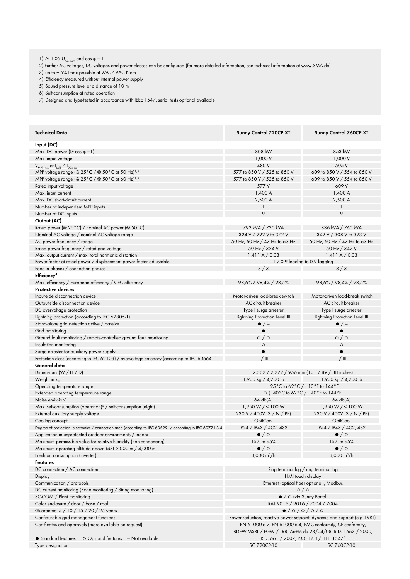1) At 1.05  $U_{AC, nom}$  and cos φ = 1

2) Further AC voltages, DC voltages and power classes can be configured (for more detailed information, see technical information at www.SMA.de)

3) up to + 5% Imax possible at VAC < VAC Nom

4) Efficiency measured without internal power supply

5) Sound pressure level at a distance of 10 m

6) Self-consumption at rated operation

7) Designed and type-tested in accordance with IEEE 1547, serial tests optional available

| Technical Data                                                                                                             | Sunny Central 720CP XT                                                                                                     | Sunny Central 760CP XT                         |
|----------------------------------------------------------------------------------------------------------------------------|----------------------------------------------------------------------------------------------------------------------------|------------------------------------------------|
| Input (DC)                                                                                                                 |                                                                                                                            |                                                |
| Max. DC power ( $@$ cos $\varphi = 1$ )                                                                                    | 808 kW                                                                                                                     | 853 kW                                         |
| Max. input voltage                                                                                                         | 1,000 V                                                                                                                    | 1,000 V                                        |
| $V_{MPP,min}$ at $I_{MPP} < I_{DCmax}$                                                                                     | 480 V                                                                                                                      | 505 V                                          |
| MPP voltage range (@ 25°C / @ 50°C at 50 Hz) <sup>1,2</sup>                                                                | 577 to 850 V / 525 to 850 V                                                                                                | 609 to 850 V / 554 to 850 V                    |
| MPP voltage range (@ 25°C / @ 50°C at 60 Hz) <sup>1,2</sup>                                                                | 577 to 850 V / 525 to 850 V                                                                                                | 609 to 850 V / 554 to 850 V                    |
| Rated input voltage                                                                                                        | 577 V                                                                                                                      | 609 V                                          |
| Max. input current                                                                                                         | 1,400 A                                                                                                                    | 1,400 A                                        |
| Max. DC short-circuit current                                                                                              | 2,500 A                                                                                                                    | 2,500 A                                        |
| Number of independent MPP inputs                                                                                           | 1                                                                                                                          | 1                                              |
| Number of DC inputs                                                                                                        | 9                                                                                                                          | 9                                              |
| Output (AC)                                                                                                                |                                                                                                                            |                                                |
| Rated power (@ 25°C) / nominal AC power (@ 50°C)                                                                           | 792 kVA / 720 kVA                                                                                                          | 836 kVA / 760 kVA                              |
| Nominal AC voltage / nominal AC voltage range                                                                              | 324 V / 292 V to 372 V                                                                                                     | 342 V / 308 V to 393 V                         |
|                                                                                                                            |                                                                                                                            |                                                |
| AC power frequency / range<br>Rated power frequency / rated grid voltage                                                   | 50 Hz, 60 Hz / 47 Hz to 63 Hz                                                                                              | 50 Hz, 60 Hz / 47 Hz to 63 Hz<br>50 Hz / 342 V |
|                                                                                                                            | 50 Hz / 324 V                                                                                                              |                                                |
| Max. output current / max. total harmonic distortion<br>Power factor at rated power / displacement power factor adjustable | 1,411A/0,03                                                                                                                | 1,411A/0,03                                    |
| Feed-in phases / connection phases                                                                                         | $1/0.9$ leading to 0.9 lagging                                                                                             |                                                |
| Efficiency <sup>4</sup>                                                                                                    | 3/3                                                                                                                        | 3/3                                            |
|                                                                                                                            |                                                                                                                            |                                                |
| Max. efficiency / European efficiency / CEC efficiency                                                                     | 98,6% / 98,4% / 98,5%                                                                                                      | 98,6% / 98,4% / 98,5%                          |
| <b>Protective devices</b>                                                                                                  |                                                                                                                            |                                                |
| Input-side disconnection device                                                                                            | Motor-driven load-break switch                                                                                             | Motor-driven load-break switch                 |
| Output-side disconnection device                                                                                           | AC circuit breaker                                                                                                         | AC circuit breaker                             |
| DC overvoltage protection                                                                                                  | Type I surge arrester                                                                                                      | Type I surge arrester                          |
| Lightning protection (according to IEC 62305-1)                                                                            | Lightning Protection Level III                                                                                             | Lightning Protection Level III                 |
| Stand-alone grid detection active / passive                                                                                | $\bullet$ / $-$                                                                                                            | $\bullet$ / $-$                                |
| Grid monitoring                                                                                                            |                                                                                                                            |                                                |
| Ground fault monitoring / remote-controlled ground fault monitoring                                                        | $\circ$ / $\circ$                                                                                                          | $\circ$ / $\circ$                              |
| Insulation monitoring                                                                                                      | $\circ$                                                                                                                    | $\circ$                                        |
| Surge arrester for auxiliary power supply                                                                                  | $\bullet$                                                                                                                  | $\bullet$                                      |
| Protection class (according to IEC 62103) / overvoltage category (according to IEC 60664-1)                                | $1/$ III                                                                                                                   | 1/111                                          |
| General data                                                                                                               |                                                                                                                            |                                                |
| Dimensions $(W/H/D)$                                                                                                       | 2,562 / 2,272 / 956 mm (101 / 89 / 38 inches)                                                                              |                                                |
| Weight in kg                                                                                                               | 1,900 kg / 4,200 lb<br><b>Contract Contract</b>                                                                            | 1,900 kg / 4,200 lb                            |
| Operating temperature range                                                                                                | $-25^{\circ}$ C to 62 $^{\circ}$ C / $-13^{\circ}$ F to 144 $^{\circ}$ F                                                   |                                                |
| Extended operating temperature range                                                                                       | O (-40°C to 62°C / -40°F to 144°F)                                                                                         |                                                |
| Noise emission <sup>5</sup>                                                                                                | 64 db(A)                                                                                                                   | 64 db(A)                                       |
| Max. self-consumption (operation) <sup>6</sup> / self-consumption (night)                                                  | 1,950 W / < 100 W                                                                                                          | 1,950 W / < 100 W                              |
| External auxiliary supply voltage                                                                                          | 230 V / 400V (3 / N / PE)                                                                                                  | 230 V / 400V (3 / N / PE)                      |
| Cooling concept                                                                                                            | OptiCool                                                                                                                   | OptiCool                                       |
| Degree of protection: electronics / connection area (according to IEC 60529) / according to IEC 60721-3-4                  | IP54 / IP43 / 4C2, 4S2                                                                                                     | IP54 / IP43 / 4C2, 4S2                         |
| Application in unprotected outdoor environments / indoor                                                                   | $\bullet$ / $\circ$                                                                                                        | $\bullet$ / $\circ$                            |
| Maximum permissible value for relative humidity (non-condensing)                                                           | 15% to 95%                                                                                                                 | 15% to 95%                                     |
| Maximum operating altitude above MSL 2,000 m / 4,000 m                                                                     | $\bullet$ / $\circ$                                                                                                        | $\bullet$ / $\circ$                            |
| Fresh air consumption (inverter)                                                                                           | $3,000 \text{ m}^3/h$                                                                                                      | $3,000 \text{ m}^3/\text{h}$                   |
| <b>Features</b>                                                                                                            |                                                                                                                            |                                                |
| DC connection / AC connection                                                                                              | Ring terminal lug / ring terminal lug                                                                                      |                                                |
| Display                                                                                                                    | HMI touch display                                                                                                          |                                                |
| Communication / protocols                                                                                                  | Ethernet (optical fiber optional), Modbus                                                                                  |                                                |
| DC current monitoring (Zone monitoring / String monitoring)                                                                | $\circ$ / $\circ$                                                                                                          |                                                |
| SC-COM / Plant monitoring                                                                                                  |                                                                                                                            |                                                |
| Color enclosure / door / base / roof                                                                                       | $\bullet$ / $\circ$ (via Sunny Portal)<br>RAL 9016 / 9016 / 7004 / 7004                                                    |                                                |
| Guarantee: 5 / 10 / 15 / 20 / 25 years                                                                                     | $\bullet$ /0/0/0/0                                                                                                         |                                                |
| Configurable grid management functions                                                                                     | Power reduction, reactive power setpoint, dynamic grid support (e.g. LVRT)                                                 |                                                |
| Certificates and approvals (more available on request)                                                                     |                                                                                                                            |                                                |
|                                                                                                                            | EN 61000-6-2, EN 61000-6-4, EMC-conformity, CE-conformity,<br>BDEW-MSRL / FGW / TR8, Arrêté du 23/04/08, R.D. 1663 / 2000, |                                                |
| O Optional features - Not available<br>$\bullet$ Standard features                                                         | R.D. 661 / 2007, P.O. 12.3 / IEEE 15477                                                                                    |                                                |
|                                                                                                                            | SC 720CP-10                                                                                                                | SC 760CP-10                                    |
| Type designation                                                                                                           |                                                                                                                            |                                                |